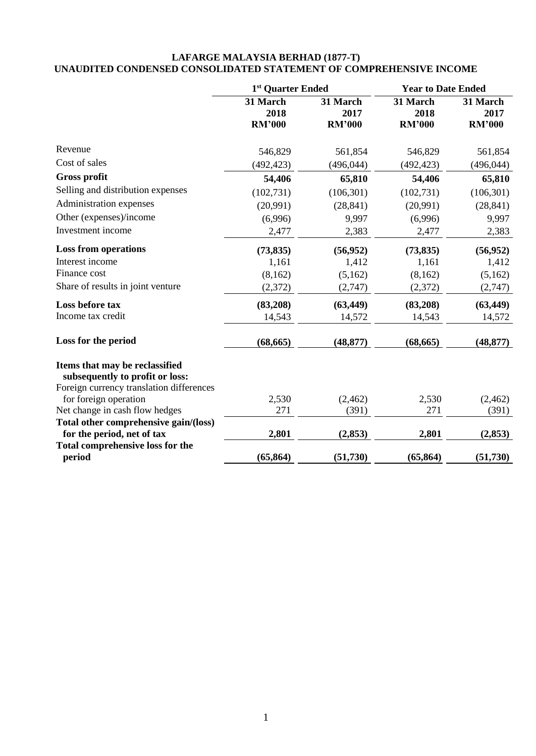## **LAFARGE MALAYSIA BERHAD (1877-T) UNAUDITED CONDENSED CONSOLIDATED STATEMENT OF COMPREHENSIVE INCOME**

|                                                                   | 1 <sup>st</sup> Quarter Ended     |                                   | <b>Year to Date Ended</b>         |                                   |  |
|-------------------------------------------------------------------|-----------------------------------|-----------------------------------|-----------------------------------|-----------------------------------|--|
|                                                                   | 31 March<br>2018<br><b>RM'000</b> | 31 March<br>2017<br><b>RM'000</b> | 31 March<br>2018<br><b>RM'000</b> | 31 March<br>2017<br><b>RM'000</b> |  |
| Revenue                                                           | 546,829                           | 561,854                           | 546,829                           | 561,854                           |  |
| Cost of sales                                                     | (492, 423)                        | (496, 044)                        | (492, 423)                        | (496, 044)                        |  |
| <b>Gross profit</b>                                               | 54,406                            | 65,810                            | 54,406                            | 65,810                            |  |
| Selling and distribution expenses                                 | (102, 731)                        | (106, 301)                        | (102, 731)                        | (106, 301)                        |  |
| Administration expenses                                           | (20,991)                          | (28, 841)                         | (20,991)                          | (28, 841)                         |  |
| Other (expenses)/income                                           | (6,996)                           | 9,997                             | (6,996)                           | 9,997                             |  |
| Investment income                                                 | 2,477                             | 2,383                             | 2,477                             | 2,383                             |  |
| <b>Loss from operations</b>                                       | (73, 835)                         | (56, 952)                         | (73, 835)                         | (56, 952)                         |  |
| Interest income                                                   | 1,161                             | 1,412                             | 1,161                             | 1,412                             |  |
| Finance cost                                                      | (8,162)                           | (5,162)                           | (8,162)                           | (5,162)                           |  |
| Share of results in joint venture                                 | (2,372)                           | (2,747)                           | (2,372)                           | (2,747)                           |  |
| Loss before tax                                                   | (83,208)                          | (63, 449)                         | (83,208)                          | (63, 449)                         |  |
| Income tax credit                                                 | 14,543                            | 14,572                            | 14,543                            | 14,572                            |  |
| Loss for the period                                               | (68, 665)                         | (48, 877)                         | (68, 665)                         | (48, 877)                         |  |
| Items that may be reclassified<br>subsequently to profit or loss: |                                   |                                   |                                   |                                   |  |
| Foreign currency translation differences<br>for foreign operation | 2,530                             | (2, 462)                          | 2,530                             | (2, 462)                          |  |
| Net change in cash flow hedges                                    | 271                               | (391)                             | 271                               | (391)                             |  |
| Total other comprehensive gain/(loss)                             |                                   |                                   |                                   |                                   |  |
| for the period, net of tax                                        | 2,801                             | (2, 853)                          | 2,801                             | (2, 853)                          |  |
| <b>Total comprehensive loss for the</b>                           |                                   |                                   |                                   |                                   |  |
| period                                                            | (65, 864)                         | (51, 730)                         | (65, 864)                         | (51, 730)                         |  |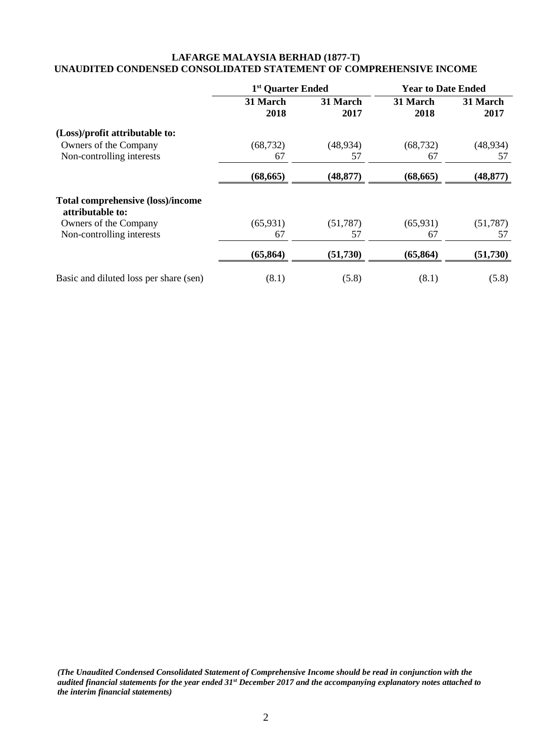# **LAFARGE MALAYSIA BERHAD (1877-T) UNAUDITED CONDENSED CONSOLIDATED STATEMENT OF COMPREHENSIVE INCOME**

|                                                              | 1 <sup>st</sup> Quarter Ended |                  | <b>Year to Date Ended</b> |                  |  |
|--------------------------------------------------------------|-------------------------------|------------------|---------------------------|------------------|--|
|                                                              | 31 March<br>2018              | 31 March<br>2017 | 31 March<br>2018          | 31 March<br>2017 |  |
| (Loss)/profit attributable to:                               |                               |                  |                           |                  |  |
| Owners of the Company                                        | (68, 732)                     | (48, 934)        | (68, 732)                 | (48, 934)        |  |
| Non-controlling interests                                    | 67                            | 57               | 67                        | 57               |  |
|                                                              | (68, 665)                     | (48, 877)        | (68, 665)                 | (48, 877)        |  |
| <b>Total comprehensive (loss)/income</b><br>attributable to: |                               |                  |                           |                  |  |
| Owners of the Company                                        | (65, 931)                     | (51, 787)        | (65, 931)                 | (51, 787)        |  |
| Non-controlling interests                                    | 67                            | 57               | 67                        | 57               |  |
|                                                              | (65, 864)                     | (51, 730)        | (65, 864)                 | (51, 730)        |  |
| Basic and diluted loss per share (sen)                       | (8.1)                         | (5.8)            | (8.1)                     | (5.8)            |  |

*(The Unaudited Condensed Consolidated Statement of Comprehensive Income should be read in conjunction with the audited financial statements for the year ended 31st December 2017 and the accompanying explanatory notes attached to the interim financial statements)*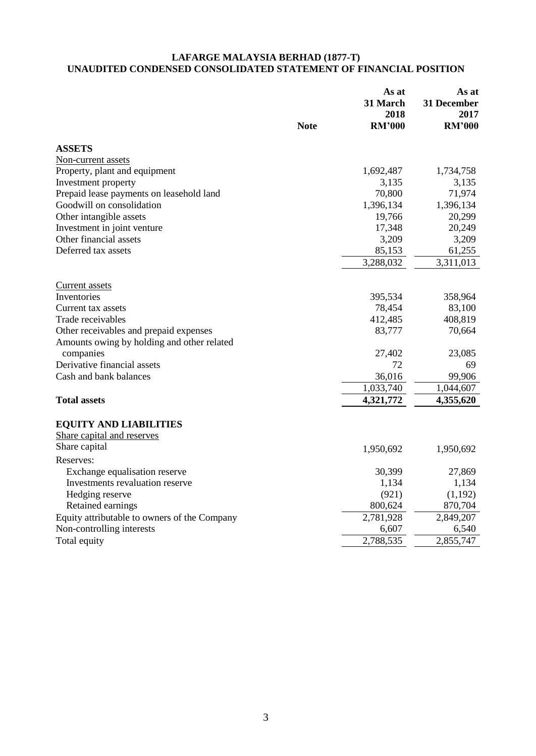## **LAFARGE MALAYSIA BERHAD (1877-T) UNAUDITED CONDENSED CONSOLIDATED STATEMENT OF FINANCIAL POSITION**

|                                              | <b>Note</b> | As at<br>31 March<br>2018<br><b>RM'000</b> | As at<br>31 December<br>2017<br><b>RM'000</b> |
|----------------------------------------------|-------------|--------------------------------------------|-----------------------------------------------|
| <b>ASSETS</b>                                |             |                                            |                                               |
| Non-current assets                           |             |                                            |                                               |
| Property, plant and equipment                |             | 1,692,487                                  | 1,734,758                                     |
| Investment property                          |             | 3,135                                      | 3,135                                         |
| Prepaid lease payments on leasehold land     |             | 70,800                                     | 71,974                                        |
| Goodwill on consolidation                    |             | 1,396,134                                  | 1,396,134                                     |
| Other intangible assets                      |             | 19,766                                     | 20,299                                        |
| Investment in joint venture                  |             | 17,348                                     | 20,249                                        |
| Other financial assets                       |             | 3,209                                      | 3,209                                         |
| Deferred tax assets                          |             | 85,153                                     | 61,255                                        |
|                                              |             | 3,288,032                                  | 3,311,013                                     |
| <b>Current</b> assets                        |             |                                            |                                               |
| Inventories                                  |             | 395,534                                    | 358,964                                       |
| Current tax assets                           |             | 78,454                                     | 83,100                                        |
| Trade receivables                            |             | 412,485                                    | 408,819                                       |
| Other receivables and prepaid expenses       |             | 83,777                                     | 70,664                                        |
| Amounts owing by holding and other related   |             |                                            |                                               |
| companies                                    |             | 27,402                                     | 23,085                                        |
| Derivative financial assets                  |             | 72                                         | 69                                            |
| Cash and bank balances                       |             | 36,016                                     | 99,906                                        |
|                                              |             | 1,033,740                                  | 1,044,607                                     |
| <b>Total assets</b>                          |             | 4,321,772                                  | 4,355,620                                     |
| <b>EQUITY AND LIABILITIES</b>                |             |                                            |                                               |
| Share capital and reserves                   |             |                                            |                                               |
| Share capital                                |             | 1,950,692                                  | 1,950,692                                     |
| Reserves:                                    |             |                                            |                                               |
| Exchange equalisation reserve                |             | 30,399                                     | 27,869                                        |
| Investments revaluation reserve              |             | 1,134                                      | 1,134                                         |
| Hedging reserve                              |             | (921)                                      | (1,192)                                       |
| Retained earnings                            |             | 800,624                                    | 870,704                                       |
| Equity attributable to owners of the Company |             | 2,781,928                                  | 2,849,207                                     |
| Non-controlling interests                    |             | 6,607                                      | 6,540                                         |
| Total equity                                 |             | 2,788,535                                  | 2,855,747                                     |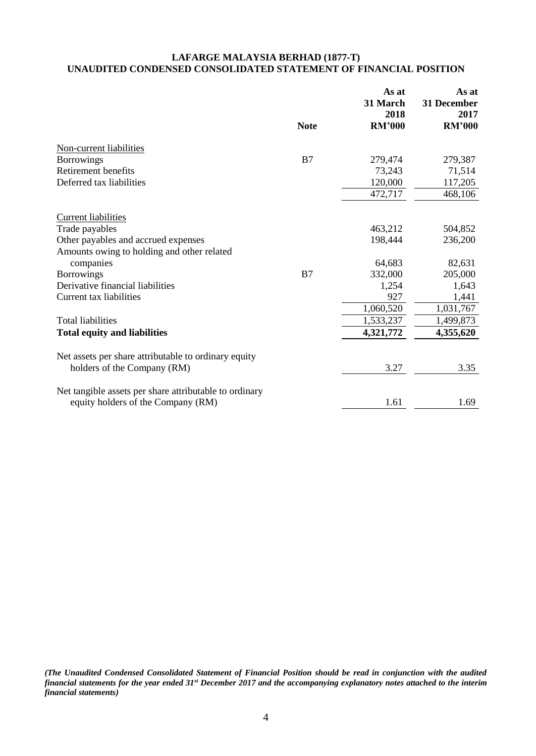# **LAFARGE MALAYSIA BERHAD (1877-T) UNAUDITED CONDENSED CONSOLIDATED STATEMENT OF FINANCIAL POSITION**

|                                                        |             | As at<br>31 March<br>2018 | As at<br>31 December<br>2017 |
|--------------------------------------------------------|-------------|---------------------------|------------------------------|
|                                                        | <b>Note</b> | <b>RM'000</b>             | <b>RM'000</b>                |
| Non-current liabilities                                |             |                           |                              |
| <b>Borrowings</b>                                      | B7          | 279,474                   | 279,387                      |
| Retirement benefits                                    |             | 73,243                    | 71,514                       |
| Deferred tax liabilities                               |             | 120,000                   | 117,205                      |
|                                                        |             | 472,717                   | 468,106                      |
| <b>Current liabilities</b>                             |             |                           |                              |
| Trade payables                                         |             | 463,212                   | 504,852                      |
| Other payables and accrued expenses                    |             | 198,444                   | 236,200                      |
| Amounts owing to holding and other related             |             |                           |                              |
| companies                                              |             | 64,683                    | 82,631                       |
| <b>Borrowings</b>                                      | B7          | 332,000                   | 205,000                      |
| Derivative financial liabilities                       |             | 1,254                     | 1,643                        |
| Current tax liabilities                                |             | 927                       | 1,441                        |
|                                                        |             | 1,060,520                 | 1,031,767                    |
| <b>Total liabilities</b>                               |             | 1,533,237                 | 1,499,873                    |
| <b>Total equity and liabilities</b>                    |             | 4,321,772                 | 4,355,620                    |
| Net assets per share attributable to ordinary equity   |             |                           |                              |
| holders of the Company (RM)                            |             | 3.27                      | 3.35                         |
| Net tangible assets per share attributable to ordinary |             |                           |                              |
| equity holders of the Company (RM)                     |             | 1.61                      | 1.69                         |

*(The Unaudited Condensed Consolidated Statement of Financial Position should be read in conjunction with the audited financial statements for the year ended 31st December 2017 and the accompanying explanatory notes attached to the interim financial statements)*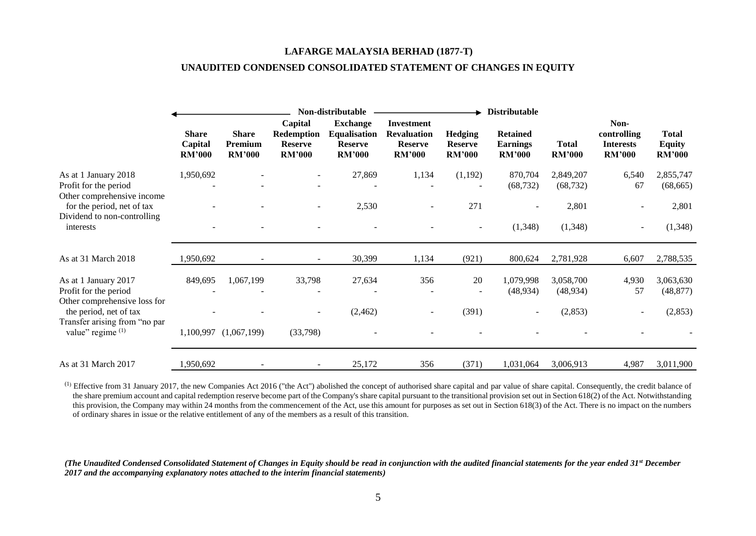#### **LAFARGE MALAYSIA BERHAD (1877-T)**

#### **UNAUDITED CONDENSED CONSOLIDATED STATEMENT OF CHANGES IN EQUITY**

|                                                                               |                                          | Non-distributable                        |                                                          |                                                                           |                                                                     | <b>Distributable</b>                              |                                                     |                               |                                                          |                                                |
|-------------------------------------------------------------------------------|------------------------------------------|------------------------------------------|----------------------------------------------------------|---------------------------------------------------------------------------|---------------------------------------------------------------------|---------------------------------------------------|-----------------------------------------------------|-------------------------------|----------------------------------------------------------|------------------------------------------------|
|                                                                               | <b>Share</b><br>Capital<br><b>RM'000</b> | <b>Share</b><br>Premium<br><b>RM'000</b> | Capital<br>Redemption<br><b>Reserve</b><br><b>RM'000</b> | <b>Exchange</b><br><b>Equalisation</b><br><b>Reserve</b><br><b>RM'000</b> | Investment<br><b>Revaluation</b><br><b>Reserve</b><br><b>RM'000</b> | <b>Hedging</b><br><b>Reserve</b><br><b>RM'000</b> | <b>Retained</b><br><b>Earnings</b><br><b>RM'000</b> | <b>Total</b><br><b>RM'000</b> | Non-<br>controlling<br><b>Interests</b><br><b>RM'000</b> | <b>Total</b><br><b>Equity</b><br><b>RM'000</b> |
| As at 1 January 2018<br>Profit for the period<br>Other comprehensive income   | 1,950,692                                |                                          | ٠                                                        | 27,869                                                                    | 1,134                                                               | (1,192)                                           | 870,704<br>(68, 732)                                | 2,849,207<br>(68, 732)        | 6,540<br>67                                              | 2,855,747<br>(68, 665)                         |
| for the period, net of tax                                                    |                                          |                                          |                                                          | 2,530                                                                     |                                                                     | 271                                               |                                                     | 2,801                         |                                                          | 2,801                                          |
| Dividend to non-controlling<br>interests                                      |                                          |                                          |                                                          |                                                                           |                                                                     |                                                   | (1, 348)                                            | (1,348)                       | $\overline{\phantom{a}}$                                 | (1,348)                                        |
| As at 31 March 2018                                                           | 1,950,692                                |                                          |                                                          | 30,399                                                                    | 1,134                                                               | (921)                                             | 800,624                                             | 2,781,928                     | 6,607                                                    | 2,788,535                                      |
| As at 1 January 2017<br>Profit for the period<br>Other comprehensive loss for | 849,695                                  | 1,067,199                                | 33,798                                                   | 27,634                                                                    | 356                                                                 | 20                                                | 1,079,998<br>(48, 934)                              | 3,058,700<br>(48, 934)        | 4,930<br>57                                              | 3,063,630<br>(48, 877)                         |
| the period, net of tax<br>Transfer arising from "no par                       |                                          |                                          | $\overline{\phantom{a}}$                                 | (2,462)                                                                   | $\sim$                                                              | (391)                                             | ۰.                                                  | (2,853)                       | $\overline{\phantom{a}}$                                 | (2,853)                                        |
| value" regime $(1)$                                                           |                                          | 1,100,997 (1,067,199)                    | (33,798)                                                 |                                                                           |                                                                     |                                                   |                                                     |                               |                                                          |                                                |
| As at 31 March 2017                                                           | 1,950,692                                |                                          | $\overline{\phantom{a}}$                                 | 25,172                                                                    | 356                                                                 | (371)                                             | 1,031,064                                           | 3,006,913                     | 4,987                                                    | 3,011,900                                      |

 $^{(1)}$  Effective from 31 January 2017, the new Companies Act 2016 ("the Act") abolished the concept of authorised share capital and par value of share capital. Consequently, the credit balance of the share premium account and capital redemption reserve become part of the Company's share capital pursuant to the transitional provision set out in Section 618(2) of the Act. Notwithstanding this provision, the Company may within 24 months from the commencement of the Act, use this amount for purposes as set out in Section 618(3) of the Act. There is no impact on the numbers of ordinary shares in issue or the relative entitlement of any of the members as a result of this transition.

#### *(The Unaudited Condensed Consolidated Statement of Changes in Equity should be read in conjunction with the audited financial statements for the year ended 31st December 2017 and the accompanying explanatory notes attached to the interim financial statements)*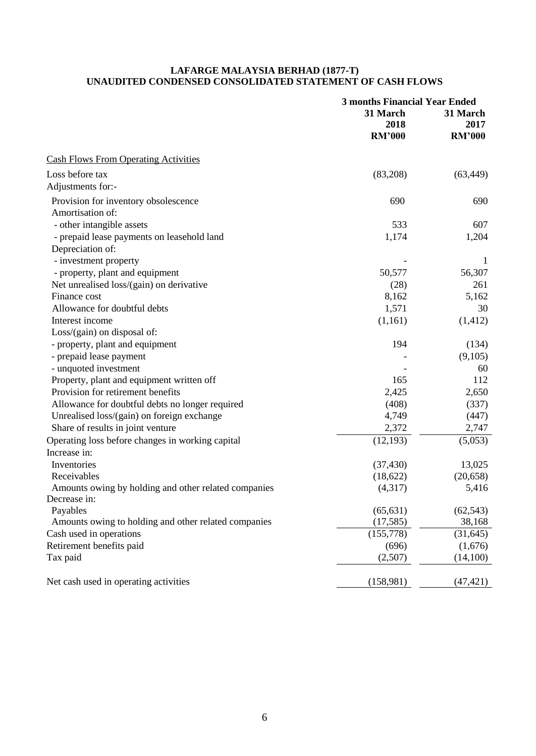## **LAFARGE MALAYSIA BERHAD (1877-T) UNAUDITED CONDENSED CONSOLIDATED STATEMENT OF CASH FLOWS**

|                                                      | <b>3 months Financial Year Ended</b> |                  |
|------------------------------------------------------|--------------------------------------|------------------|
|                                                      | 31 March<br>2018                     | 31 March<br>2017 |
|                                                      | <b>RM'000</b>                        | <b>RM'000</b>    |
| <b>Cash Flows From Operating Activities</b>          |                                      |                  |
| Loss before tax                                      | (83,208)                             | (63, 449)        |
| Adjustments for:-                                    |                                      |                  |
| Provision for inventory obsolescence                 | 690                                  | 690              |
| Amortisation of:                                     |                                      |                  |
| - other intangible assets                            | 533                                  | 607              |
| - prepaid lease payments on leasehold land           | 1,174                                | 1,204            |
| Depreciation of:                                     |                                      |                  |
| - investment property                                |                                      | 1                |
| - property, plant and equipment                      | 50,577                               | 56,307           |
| Net unrealised loss/(gain) on derivative             | (28)                                 | 261              |
| Finance cost                                         | 8,162                                | 5,162            |
| Allowance for doubtful debts                         | 1,571                                | 30               |
| Interest income                                      | (1,161)                              | (1, 412)         |
| Loss/(gain) on disposal of:                          |                                      |                  |
| - property, plant and equipment                      | 194                                  | (134)            |
| - prepaid lease payment                              |                                      | (9,105)          |
| - unquoted investment                                |                                      | 60               |
| Property, plant and equipment written off            | 165                                  | 112              |
| Provision for retirement benefits                    | 2,425                                | 2,650            |
| Allowance for doubtful debts no longer required      | (408)                                | (337)            |
| Unrealised loss/(gain) on foreign exchange           | 4,749                                | (447)            |
| Share of results in joint venture                    | 2,372                                | 2,747            |
| Operating loss before changes in working capital     | (12, 193)                            | (5,053)          |
| Increase in:                                         |                                      |                  |
| Inventories                                          | (37, 430)                            | 13,025           |
| Receivables                                          | (18, 622)                            | (20, 658)        |
| Amounts owing by holding and other related companies | (4,317)                              | 5,416            |
| Decrease in:                                         |                                      |                  |
| Payables                                             | (65, 631)                            | (62, 543)        |
| Amounts owing to holding and other related companies | (17,585)                             | 38,168           |
| Cash used in operations                              | (155,778)                            | (31, 645)        |
| Retirement benefits paid                             | (696)                                | (1,676)          |
| Tax paid                                             | (2,507)                              | (14,100)         |
| Net cash used in operating activities                | (158,981)                            | (47, 421)        |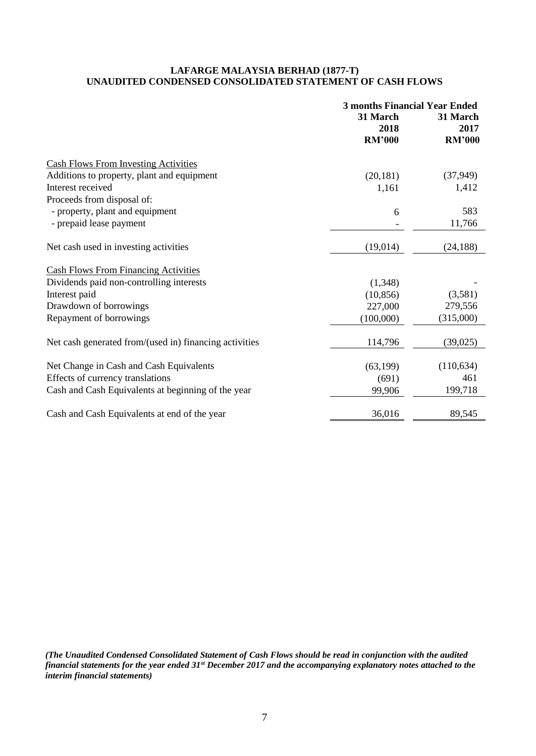## **LAFARGE MALAYSIA BERHAD (1877-T) UNAUDITED CONDENSED CONSOLIDATED STATEMENT OF CASH FLOWS**

|                                                        | <b>3 months Financial Year Ended</b><br>31 March<br>2018<br><b>RM'000</b> | 31 March<br>2017<br><b>RM'000</b> |
|--------------------------------------------------------|---------------------------------------------------------------------------|-----------------------------------|
| <b>Cash Flows From Investing Activities</b>            |                                                                           |                                   |
| Additions to property, plant and equipment             | (20, 181)                                                                 | (37, 949)                         |
| Interest received                                      | 1,161                                                                     | 1,412                             |
| Proceeds from disposal of:                             |                                                                           |                                   |
| - property, plant and equipment                        | 6                                                                         | 583                               |
| - prepaid lease payment                                |                                                                           | 11,766                            |
| Net cash used in investing activities                  | (19,014)                                                                  | (24, 188)                         |
| <b>Cash Flows From Financing Activities</b>            |                                                                           |                                   |
| Dividends paid non-controlling interests               | (1,348)                                                                   |                                   |
| Interest paid                                          | (10, 856)                                                                 | (3,581)                           |
| Drawdown of borrowings                                 | 227,000                                                                   | 279,556                           |
| Repayment of borrowings                                | (100,000)                                                                 | (315,000)                         |
| Net cash generated from/(used in) financing activities | 114,796                                                                   | (39, 025)                         |
| Net Change in Cash and Cash Equivalents                | (63, 199)                                                                 | (110, 634)                        |
| Effects of currency translations                       | (691)                                                                     | 461                               |
| Cash and Cash Equivalents at beginning of the year     | 99,906                                                                    | 199,718                           |
| Cash and Cash Equivalents at end of the year           | 36,016                                                                    | 89,545                            |

*(The Unaudited Condensed Consolidated Statement of Cash Flows should be read in conjunction with the audited financial statements for the year ended 31st December 2017 and the accompanying explanatory notes attached to the interim financial statements)*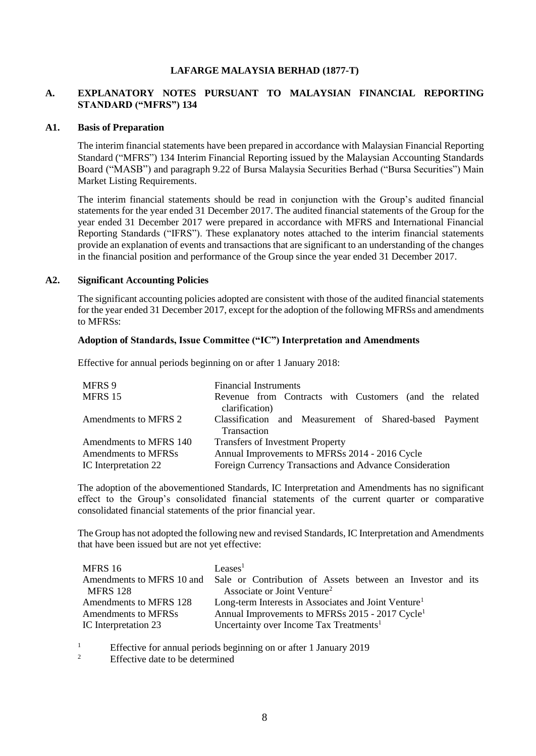## **LAFARGE MALAYSIA BERHAD (1877-T)**

## **A. EXPLANATORY NOTES PURSUANT TO MALAYSIAN FINANCIAL REPORTING STANDARD ("MFRS") 134**

#### **A1. Basis of Preparation**

The interim financial statements have been prepared in accordance with Malaysian Financial Reporting Standard ("MFRS") 134 Interim Financial Reporting issued by the Malaysian Accounting Standards Board ("MASB") and paragraph 9.22 of Bursa Malaysia Securities Berhad ("Bursa Securities") Main Market Listing Requirements.

The interim financial statements should be read in conjunction with the Group's audited financial statements for the year ended 31 December 2017. The audited financial statements of the Group for the year ended 31 December 2017 were prepared in accordance with MFRS and International Financial Reporting Standards ("IFRS"). These explanatory notes attached to the interim financial statements provide an explanation of events and transactions that are significant to an understanding of the changes in the financial position and performance of the Group since the year ended 31 December 2017.

#### **A2. Significant Accounting Policies**

The significant accounting policies adopted are consistent with those of the audited financial statements for the year ended 31 December 2017, except for the adoption of the following MFRSs and amendments to MFRSs:

### **Adoption of Standards, Issue Committee ("IC") Interpretation and Amendments**

Effective for annual periods beginning on or after 1 January 2018:

| MFRS 9                 | <b>Financial Instruments</b>                                             |  |  |  |
|------------------------|--------------------------------------------------------------------------|--|--|--|
| MFRS 15                | Revenue from Contracts with Customers (and the related<br>clarification) |  |  |  |
|                        |                                                                          |  |  |  |
| Amendments to MFRS 2   | Classification and Measurement of Shared-based Payment<br>Transaction    |  |  |  |
| Amendments to MFRS 140 | <b>Transfers of Investment Property</b>                                  |  |  |  |
| Amendments to MFRSs    | Annual Improvements to MFRSs 2014 - 2016 Cycle                           |  |  |  |
| IC Interpretation 22   | Foreign Currency Transactions and Advance Consideration                  |  |  |  |

The adoption of the abovementioned Standards, IC Interpretation and Amendments has no significant effect to the Group's consolidated financial statements of the current quarter or comparative consolidated financial statements of the prior financial year.

The Group has not adopted the following new and revised Standards, IC Interpretation and Amendments that have been issued but are not yet effective:

| MFRS 16                | Leases <sup>1</sup>                                                                  |  |  |  |  |
|------------------------|--------------------------------------------------------------------------------------|--|--|--|--|
|                        | Amendments to MFRS 10 and Sale or Contribution of Assets between an Investor and its |  |  |  |  |
| <b>MFRS 128</b>        | Associate or Joint Venture <sup>2</sup>                                              |  |  |  |  |
| Amendments to MFRS 128 | Long-term Interests in Associates and Joint Venture <sup>1</sup>                     |  |  |  |  |
| Amendments to MFRSs    | Annual Improvements to MFRSs 2015 - 2017 Cycle <sup>1</sup>                          |  |  |  |  |
| IC Interpretation 23   | Uncertainty over Income Tax Treatments <sup>1</sup>                                  |  |  |  |  |

<sup>1</sup> Effective for annual periods beginning on or after 1 January 2019

Effective date to be determined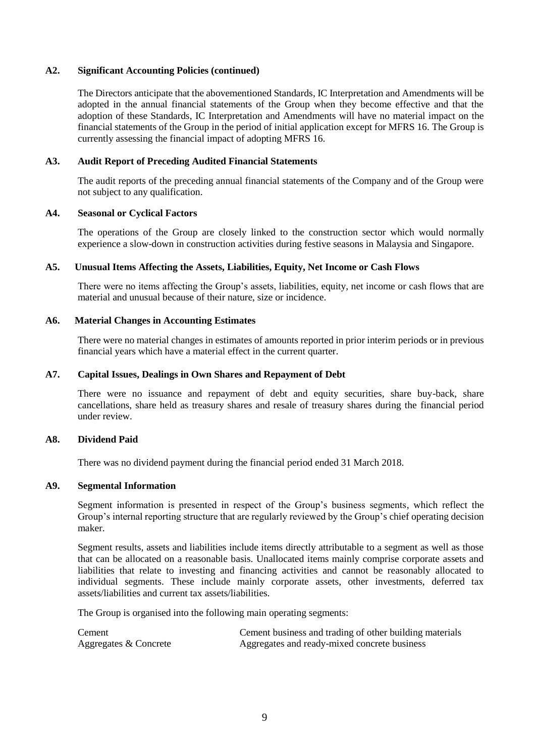## **A2. Significant Accounting Policies (continued)**

The Directors anticipate that the abovementioned Standards, IC Interpretation and Amendments will be adopted in the annual financial statements of the Group when they become effective and that the adoption of these Standards, IC Interpretation and Amendments will have no material impact on the financial statements of the Group in the period of initial application except for MFRS 16. The Group is currently assessing the financial impact of adopting MFRS 16.

## **A3. Audit Report of Preceding Audited Financial Statements**

The audit reports of the preceding annual financial statements of the Company and of the Group were not subject to any qualification.

## **A4. Seasonal or Cyclical Factors**

The operations of the Group are closely linked to the construction sector which would normally experience a slow-down in construction activities during festive seasons in Malaysia and Singapore.

#### **A5. Unusual Items Affecting the Assets, Liabilities, Equity, Net Income or Cash Flows**

There were no items affecting the Group's assets, liabilities, equity, net income or cash flows that are material and unusual because of their nature, size or incidence.

#### **A6. Material Changes in Accounting Estimates**

There were no material changes in estimates of amounts reported in prior interim periods or in previous financial years which have a material effect in the current quarter.

#### **A7. Capital Issues, Dealings in Own Shares and Repayment of Debt**

There were no issuance and repayment of debt and equity securities, share buy-back, share cancellations, share held as treasury shares and resale of treasury shares during the financial period under review.

#### **A8. Dividend Paid**

There was no dividend payment during the financial period ended 31 March 2018.

#### **A9. Segmental Information**

Segment information is presented in respect of the Group's business segments, which reflect the Group's internal reporting structure that are regularly reviewed by the Group's chief operating decision maker.

Segment results, assets and liabilities include items directly attributable to a segment as well as those that can be allocated on a reasonable basis. Unallocated items mainly comprise corporate assets and liabilities that relate to investing and financing activities and cannot be reasonably allocated to individual segments. These include mainly corporate assets, other investments, deferred tax assets/liabilities and current tax assets/liabilities.

The Group is organised into the following main operating segments:

| Cement                | Cement business and trading of other building materials |
|-----------------------|---------------------------------------------------------|
| Aggregates & Concrete | Aggregates and ready-mixed concrete business            |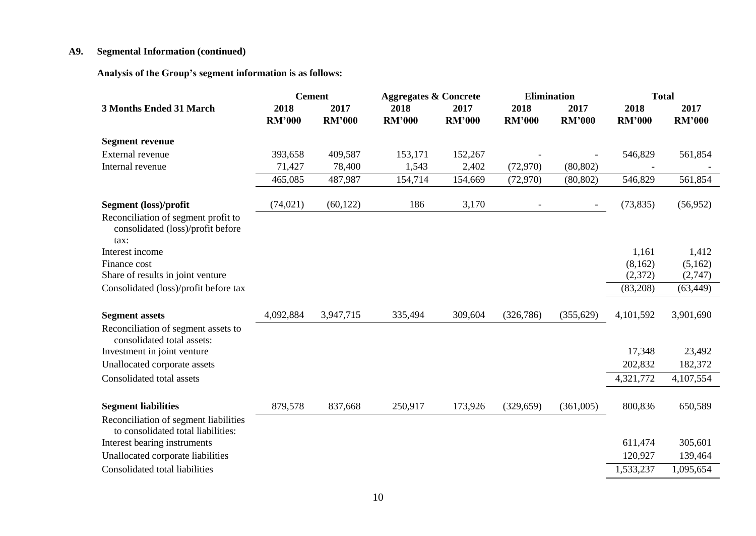# **A9. Segmental Information (continued)**

**Analysis of the Group's segment information is as follows:** 

|                                                                                  |                       | <b>Cement</b>         | <b>Aggregates &amp; Concrete</b> |                       | <b>Elimination</b>       |                          | <b>Total</b>          |                       |  |
|----------------------------------------------------------------------------------|-----------------------|-----------------------|----------------------------------|-----------------------|--------------------------|--------------------------|-----------------------|-----------------------|--|
| <b>3 Months Ended 31 March</b>                                                   | 2018<br><b>RM'000</b> | 2017<br><b>RM'000</b> | 2018<br><b>RM'000</b>            | 2017<br><b>RM'000</b> | 2018<br><b>RM'000</b>    | 2017<br><b>RM'000</b>    | 2018<br><b>RM'000</b> | 2017<br><b>RM'000</b> |  |
| <b>Segment revenue</b>                                                           |                       |                       |                                  |                       |                          |                          |                       |                       |  |
| External revenue                                                                 | 393,658               | 409,587               | 153,171                          | 152,267               |                          |                          | 546,829               | 561,854               |  |
| Internal revenue                                                                 | 71,427                | 78,400                | 1,543                            | 2,402                 | (72, 970)                | (80, 802)                |                       |                       |  |
|                                                                                  | 465,085               | 487,987               | 154,714                          | 154,669               | (72, 970)                | (80, 802)                | 546,829               | 561,854               |  |
| Segment (loss)/profit                                                            | (74, 021)             | (60, 122)             | 186                              | 3,170                 | $\overline{\phantom{a}}$ | $\overline{\phantom{a}}$ | (73, 835)             | (56, 952)             |  |
| Reconciliation of segment profit to<br>consolidated (loss)/profit before<br>tax: |                       |                       |                                  |                       |                          |                          |                       |                       |  |
| Interest income                                                                  |                       |                       |                                  |                       |                          |                          | 1,161                 | 1,412                 |  |
| Finance cost                                                                     |                       |                       |                                  |                       |                          |                          | (8,162)               | (5,162)               |  |
| Share of results in joint venture                                                |                       |                       |                                  |                       |                          |                          | (2, 372)              | (2,747)               |  |
| Consolidated (loss)/profit before tax                                            |                       |                       |                                  |                       |                          |                          | (83,208)              | (63, 449)             |  |
| <b>Segment assets</b>                                                            | 4,092,884             | 3,947,715             | 335,494                          | 309,604               | (326, 786)               | (355, 629)               | 4,101,592             | 3,901,690             |  |
| Reconciliation of segment assets to<br>consolidated total assets:                |                       |                       |                                  |                       |                          |                          |                       |                       |  |
| Investment in joint venture                                                      |                       |                       |                                  |                       |                          |                          | 17,348                | 23,492                |  |
| Unallocated corporate assets                                                     |                       |                       |                                  |                       |                          |                          | 202,832               | 182,372               |  |
| Consolidated total assets                                                        |                       |                       |                                  |                       |                          |                          | 4,321,772             | 4,107,554             |  |
| <b>Segment liabilities</b>                                                       | 879,578               | 837,668               | 250,917                          | 173,926               | (329, 659)               | (361,005)                | 800,836               | 650,589               |  |
| Reconciliation of segment liabilities<br>to consolidated total liabilities:      |                       |                       |                                  |                       |                          |                          |                       |                       |  |
| Interest bearing instruments                                                     |                       |                       |                                  |                       |                          |                          | 611,474               | 305,601               |  |
| Unallocated corporate liabilities                                                |                       |                       |                                  |                       |                          |                          | 120,927               | 139,464               |  |
| Consolidated total liabilities                                                   |                       |                       |                                  |                       |                          |                          | 1,533,237             | 1,095,654             |  |

10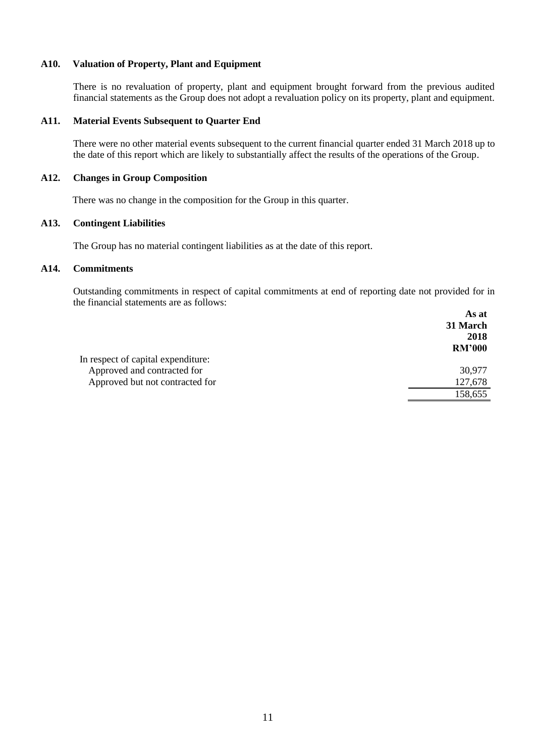## **A10. Valuation of Property, Plant and Equipment**

There is no revaluation of property, plant and equipment brought forward from the previous audited financial statements as the Group does not adopt a revaluation policy on its property, plant and equipment.

#### **A11. Material Events Subsequent to Quarter End**

There were no other material events subsequent to the current financial quarter ended 31 March 2018 up to the date of this report which are likely to substantially affect the results of the operations of the Group.

#### **A12. Changes in Group Composition**

There was no change in the composition for the Group in this quarter.

# **A13. Contingent Liabilities**

The Group has no material contingent liabilities as at the date of this report.

## **A14. Commitments**

Outstanding commitments in respect of capital commitments at end of reporting date not provided for in the financial statements are as follows:  $\Lambda$  a at

|                                    | As at         |
|------------------------------------|---------------|
|                                    | 31 March      |
|                                    | 2018          |
|                                    | <b>RM'000</b> |
| In respect of capital expenditure: |               |
| Approved and contracted for        | 30,977        |
| Approved but not contracted for    | 127,678       |
|                                    | 158,655       |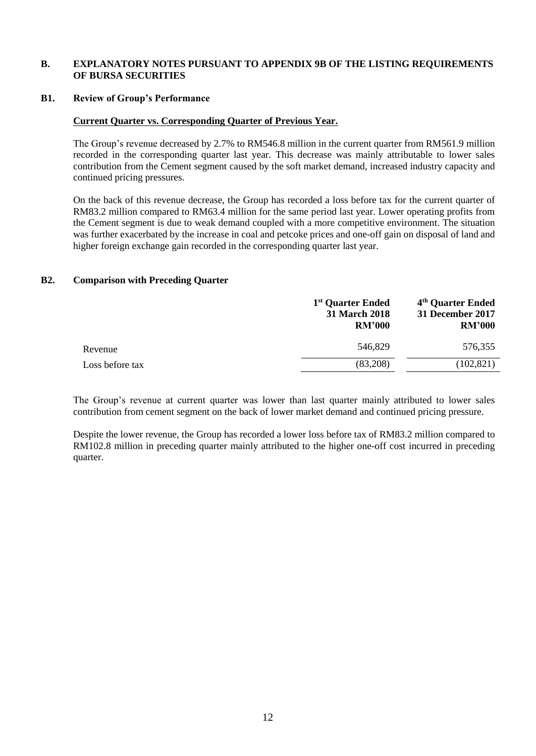## **B. EXPLANATORY NOTES PURSUANT TO APPENDIX 9B OF THE LISTING REQUIREMENTS OF BURSA SECURITIES**

#### **B1. Review of Group's Performance**

## **Current Quarter vs. Corresponding Quarter of Previous Year.**

The Group's revenue decreased by 2.7% to RM546.8 million in the current quarter from RM561.9 million recorded in the corresponding quarter last year. This decrease was mainly attributable to lower sales contribution from the Cement segment caused by the soft market demand, increased industry capacity and continued pricing pressures.

On the back of this revenue decrease, the Group has recorded a loss before tax for the current quarter of RM83.2 million compared to RM63.4 million for the same period last year. Lower operating profits from the Cement segment is due to weak demand coupled with a more competitive environment. The situation was further exacerbated by the increase in coal and petcoke prices and one-off gain on disposal of land and higher foreign exchange gain recorded in the corresponding quarter last year.

## **B2. Comparison with Preceding Quarter**

|                 | 1 <sup>st</sup> Quarter Ended<br><b>31 March 2018</b><br><b>RM'000</b> | 4 <sup>th</sup> Quarter Ended<br>31 December 2017<br><b>RM'000</b> |
|-----------------|------------------------------------------------------------------------|--------------------------------------------------------------------|
| Revenue         | 546,829                                                                | 576,355                                                            |
| Loss before tax | (83,208)                                                               | (102, 821)                                                         |

The Group's revenue at current quarter was lower than last quarter mainly attributed to lower sales contribution from cement segment on the back of lower market demand and continued pricing pressure.

Despite the lower revenue, the Group has recorded a lower loss before tax of RM83.2 million compared to RM102.8 million in preceding quarter mainly attributed to the higher one-off cost incurred in preceding quarter.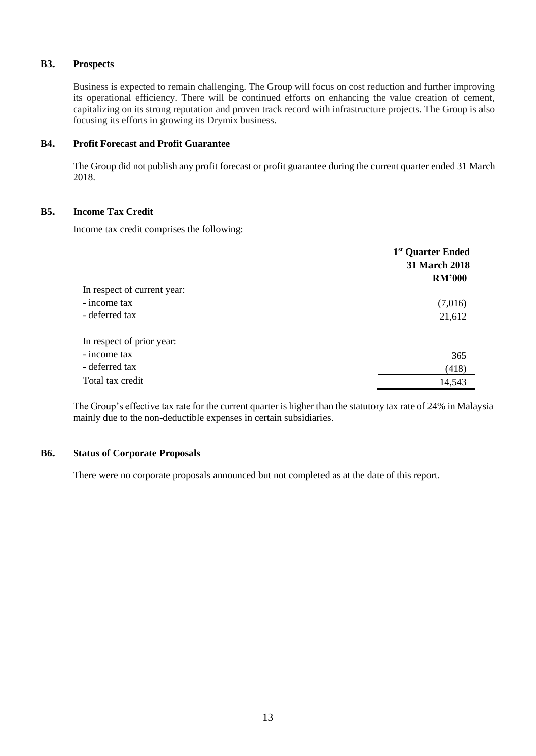# **B3. Prospects**

Business is expected to remain challenging. The Group will focus on cost reduction and further improving its operational efficiency. There will be continued efforts on enhancing the value creation of cement, capitalizing on its strong reputation and proven track record with infrastructure projects. The Group is also focusing its efforts in growing its Drymix business.

## **B4. Profit Forecast and Profit Guarantee**

The Group did not publish any profit forecast or profit guarantee during the current quarter ended 31 March 2018.

## **B5. Income Tax Credit**

Income tax credit comprises the following:

|                             | 1 <sup>st</sup> Quarter Ended |
|-----------------------------|-------------------------------|
|                             | 31 March 2018                 |
|                             | <b>RM'000</b>                 |
| In respect of current year: |                               |
| - income tax                | (7,016)                       |
| - deferred tax              | 21,612                        |
| In respect of prior year:   |                               |
| - income tax                | 365                           |
| - deferred tax              | (418)                         |
| Total tax credit            | 14,543                        |

The Group's effective tax rate for the current quarter is higher than the statutory tax rate of 24% in Malaysia mainly due to the non-deductible expenses in certain subsidiaries.

## **B6. Status of Corporate Proposals**

There were no corporate proposals announced but not completed as at the date of this report.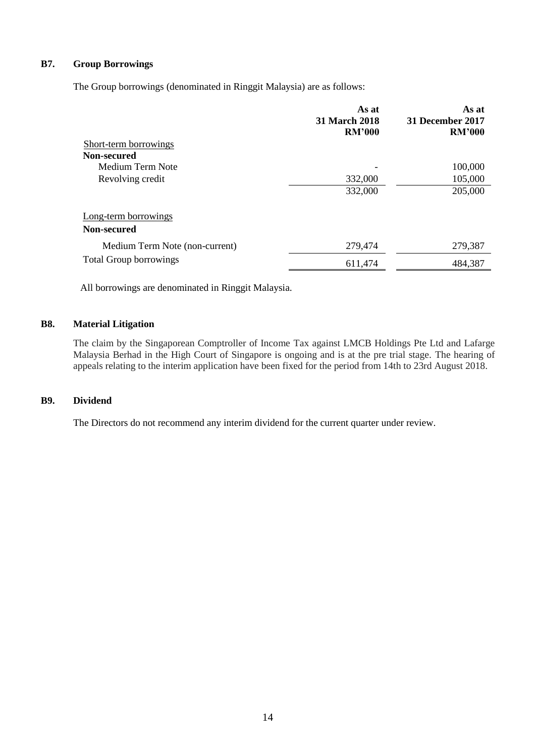# **B7. Group Borrowings**

The Group borrowings (denominated in Ringgit Malaysia) are as follows:

|                                     | As at<br><b>31 March 2018</b><br><b>RM'000</b> | As at<br><b>31 December 2017</b><br><b>RM'000</b> |
|-------------------------------------|------------------------------------------------|---------------------------------------------------|
| Short-term borrowings               |                                                |                                                   |
| Non-secured                         |                                                |                                                   |
| Medium Term Note                    |                                                | 100,000                                           |
| Revolving credit                    | 332,000                                        | 105,000                                           |
|                                     | 332,000                                        | 205,000                                           |
| Long-term borrowings<br>Non-secured |                                                |                                                   |
|                                     |                                                |                                                   |
| Medium Term Note (non-current)      | 279,474                                        | 279,387                                           |
| <b>Total Group borrowings</b>       | 611,474                                        | 484,387                                           |

All borrowings are denominated in Ringgit Malaysia.

# **B8. Material Litigation**

The claim by the Singaporean Comptroller of Income Tax against LMCB Holdings Pte Ltd and Lafarge Malaysia Berhad in the High Court of Singapore is ongoing and is at the pre trial stage. The hearing of appeals relating to the interim application have been fixed for the period from 14th to 23rd August 2018.

## **B9. Dividend**

The Directors do not recommend any interim dividend for the current quarter under review.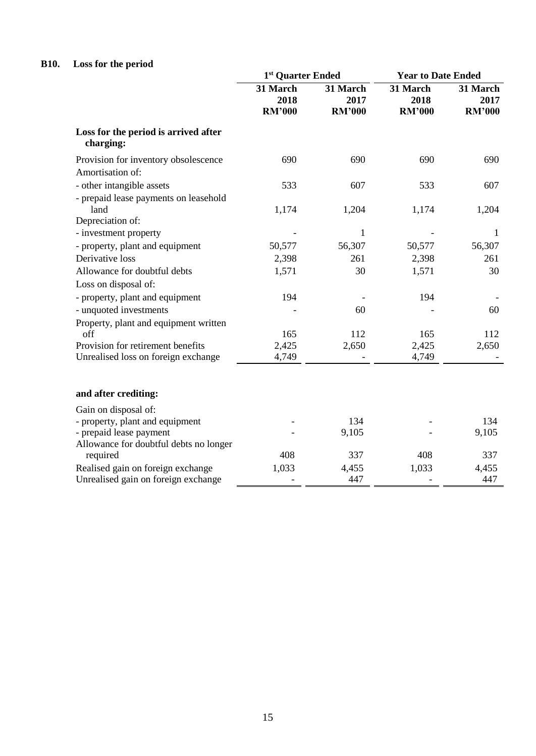# **B10. Loss for the period**

|                                                   | 1 <sup>st</sup> Quarter Ended     |                                   | <b>Year to Date Ended</b>         |                                   |
|---------------------------------------------------|-----------------------------------|-----------------------------------|-----------------------------------|-----------------------------------|
|                                                   | 31 March<br>2018<br><b>RM'000</b> | 31 March<br>2017<br><b>RM'000</b> | 31 March<br>2018<br><b>RM'000</b> | 31 March<br>2017<br><b>RM'000</b> |
| Loss for the period is arrived after<br>charging: |                                   |                                   |                                   |                                   |
| Provision for inventory obsolescence              | 690                               | 690                               | 690                               | 690                               |
| Amortisation of:                                  |                                   |                                   |                                   |                                   |
| - other intangible assets                         | 533                               | 607                               | 533                               | 607                               |
| - prepaid lease payments on leasehold             |                                   |                                   |                                   |                                   |
| land                                              | 1,174                             | 1,204                             | 1,174                             | 1,204                             |
| Depreciation of:                                  |                                   |                                   |                                   |                                   |
| - investment property                             |                                   | $\mathbf{1}$                      |                                   | 1                                 |
| - property, plant and equipment                   | 50,577                            | 56,307                            | 50,577                            | 56,307                            |
| Derivative loss                                   | 2,398                             | 261                               | 2,398                             | 261                               |
| Allowance for doubtful debts                      | 1,571                             | 30                                | 1,571                             | 30                                |
| Loss on disposal of:                              |                                   |                                   |                                   |                                   |
| - property, plant and equipment                   | 194                               |                                   | 194                               |                                   |
| - unquoted investments                            |                                   | 60                                |                                   | 60                                |
| Property, plant and equipment written             |                                   |                                   |                                   |                                   |
| off                                               | 165                               | 112                               | 165                               | 112                               |
| Provision for retirement benefits                 | 2,425                             | 2,650                             | 2,425                             | 2,650                             |
| Unrealised loss on foreign exchange               | 4,749                             |                                   | 4,749                             |                                   |
| and after crediting:                              |                                   |                                   |                                   |                                   |
| Gain on disposal of:                              |                                   |                                   |                                   |                                   |
| - property, plant and equipment                   |                                   | 134                               |                                   | 134                               |
| - prepaid lease payment                           |                                   | 9,105                             |                                   | 9,105                             |
| Allowance for doubtful debts no longer            |                                   |                                   |                                   |                                   |
| required                                          | 408                               | 337                               | 408                               | 337                               |
| Realised gain on foreign exchange                 | 1,033                             | 4,455                             | 1,033                             | 4,455                             |
| Unrealised gain on foreign exchange               |                                   | 447                               |                                   | 447                               |